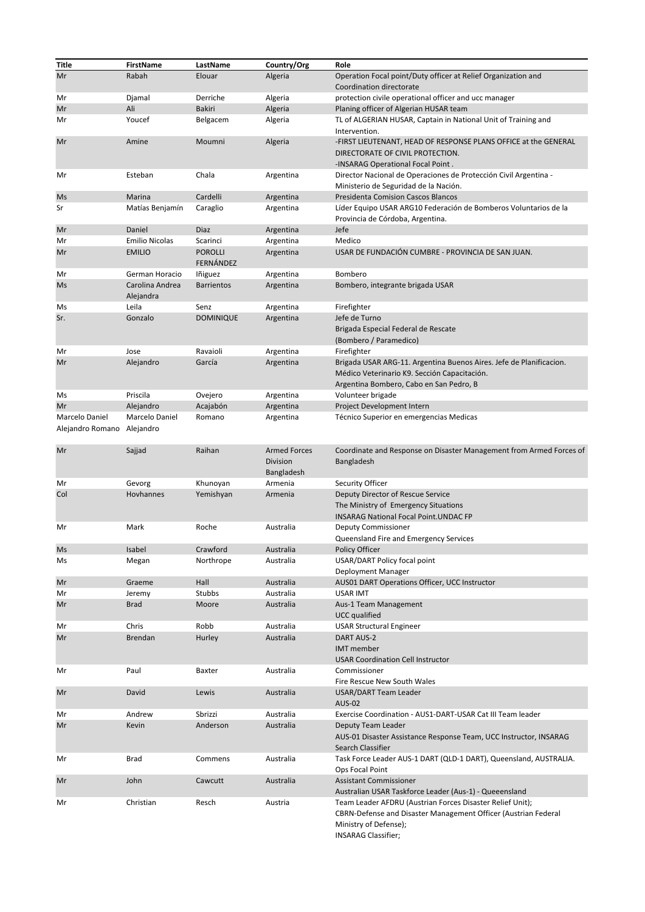| Title                              | FirstName                    | LastName                    | Country/Org                                   | Role                                                                                                                                                                               |
|------------------------------------|------------------------------|-----------------------------|-----------------------------------------------|------------------------------------------------------------------------------------------------------------------------------------------------------------------------------------|
| Mr                                 | Rabah                        | Elouar                      | Algeria                                       | Operation Focal point/Duty officer at Relief Organization and<br>Coordination directorate                                                                                          |
| Mr                                 | Djamal                       | Derriche                    | Algeria                                       | protection civile operational officer and ucc manager                                                                                                                              |
| Mr                                 | Ali                          | <b>Bakiri</b>               | Algeria                                       | Planing officer of Algerian HUSAR team                                                                                                                                             |
| Mr                                 | Youcef                       | Belgacem                    | Algeria                                       | TL of ALGERIAN HUSAR, Captain in National Unit of Training and<br>Intervention.                                                                                                    |
| Mr                                 | Amine                        | Moumni                      | Algeria                                       | -FIRST LIEUTENANT, HEAD OF RESPONSE PLANS OFFICE at the GENERAL<br>DIRECTORATE OF CIVIL PROTECTION.<br>-INSARAG Operational Focal Point.                                           |
| Mr                                 | Esteban                      | Chala                       | Argentina                                     | Director Nacional de Operaciones de Protección Civil Argentina -<br>Ministerio de Seguridad de la Nación.                                                                          |
| Ms                                 | Marina                       | Cardelli                    | Argentina                                     | <b>Presidenta Comision Cascos Blancos</b>                                                                                                                                          |
| Sr                                 | Matías Benjamín              | Caraglio                    | Argentina                                     | Líder Equipo USAR ARG10 Federación de Bomberos Voluntarios de la<br>Provincia de Córdoba, Argentina.                                                                               |
| Mr                                 | Daniel                       | Diaz                        | Argentina                                     | Jefe                                                                                                                                                                               |
| Mr                                 | <b>Emilio Nicolas</b>        | Scarinci                    | Argentina                                     | Medico                                                                                                                                                                             |
| Mr                                 | <b>EMILIO</b>                | <b>POROLLI</b><br>FERNÁNDEZ | Argentina                                     | USAR DE FUNDACIÓN CUMBRE - PROVINCIA DE SAN JUAN.                                                                                                                                  |
| Mr                                 | German Horacio               | lñiguez                     | Argentina                                     | Bombero                                                                                                                                                                            |
| Ms                                 | Carolina Andrea<br>Alejandra | <b>Barrientos</b>           | Argentina                                     | Bombero, integrante brigada USAR                                                                                                                                                   |
| Ms                                 | Leila                        | Senz                        | Argentina                                     | Firefighter                                                                                                                                                                        |
| Sr.                                | Gonzalo                      | <b>DOMINIQUE</b>            | Argentina                                     | Jefe de Turno                                                                                                                                                                      |
|                                    |                              |                             |                                               | Brigada Especial Federal de Rescate                                                                                                                                                |
|                                    |                              |                             |                                               | (Bombero / Paramedico)                                                                                                                                                             |
| Mr                                 | Jose                         | Ravaioli                    | Argentina                                     | Firefighter                                                                                                                                                                        |
| Mr                                 | Alejandro                    | García                      | Argentina                                     | Brigada USAR ARG-11. Argentina Buenos Aires. Jefe de Planificacion.<br>Médico Veterinario K9. Sección Capacitación.<br>Argentina Bombero, Cabo en San Pedro, B                     |
| Ms                                 | Priscila                     | Ovejero                     | Argentina                                     | Volunteer brigade                                                                                                                                                                  |
| Mr                                 | Alejandro                    | Acajabón                    | Argentina                                     | Project Development Intern                                                                                                                                                         |
| Marcelo Daniel<br>Alejandro Romano | Marcelo Daniel<br>Alejandro  | Romano                      | Argentina                                     | Técnico Superior en emergencias Medicas                                                                                                                                            |
| Mr                                 | Sajjad                       | Raihan                      | <b>Armed Forces</b><br>Division<br>Bangladesh | Coordinate and Response on Disaster Management from Armed Forces of<br>Bangladesh                                                                                                  |
| Mr                                 | Gevorg                       | Khunoyan                    | Armenia                                       | Security Officer                                                                                                                                                                   |
| Col                                | Hovhannes                    | Yemishyan                   | Armenia                                       | Deputy Director of Rescue Service<br>The Ministry of Emergency Situations<br><b>INSARAG National Focal Point.UNDAC FP</b>                                                          |
| Mr                                 | Mark                         | Roche                       | Australia                                     | <b>Deputy Commissioner</b><br>Queensland Fire and Emergency Services                                                                                                               |
| Ms                                 | Isabel                       | Crawford                    | Australia                                     | Policy Officer                                                                                                                                                                     |
| Ms                                 | Megan                        | Northrope                   | Australia                                     | USAR/DART Policy focal point<br>Deployment Manager                                                                                                                                 |
| Mr                                 | Graeme                       | Hall                        | Australia                                     | AUS01 DART Operations Officer, UCC Instructor                                                                                                                                      |
| Mr                                 | Jeremy                       | Stubbs                      | Australia                                     | <b>USAR IMT</b>                                                                                                                                                                    |
| Mr                                 | <b>Brad</b>                  | Moore                       | Australia                                     | Aus-1 Team Management<br><b>UCC</b> qualified                                                                                                                                      |
| Mr                                 | Chris                        | Robb                        | Australia                                     | <b>USAR Structural Engineer</b>                                                                                                                                                    |
| Mr                                 | <b>Brendan</b>               | Hurley                      | Australia                                     | DART AUS-2<br><b>IMT</b> member<br><b>USAR Coordination Cell Instructor</b>                                                                                                        |
| Mr                                 | Paul                         | Baxter                      | Australia                                     | Commissioner<br>Fire Rescue New South Wales                                                                                                                                        |
| Mr                                 | David                        | Lewis                       | Australia                                     | <b>USAR/DART Team Leader</b><br><b>AUS-02</b>                                                                                                                                      |
| Mr                                 | Andrew                       | Sbrizzi                     | Australia                                     | Exercise Coordination - AUS1-DART-USAR Cat III Team leader                                                                                                                         |
| Mr                                 | Kevin                        | Anderson                    | Australia                                     | Deputy Team Leader<br>AUS-01 Disaster Assistance Response Team, UCC Instructor, INSARAG<br>Search Classifier                                                                       |
| Mr                                 | <b>Brad</b>                  | Commens                     | Australia                                     | Task Force Leader AUS-1 DART (QLD-1 DART), Queensland, AUSTRALIA.<br>Ops Focal Point                                                                                               |
| Mr                                 | John                         | Cawcutt                     | Australia                                     | <b>Assistant Commissioner</b><br>Australian USAR Taskforce Leader (Aus-1) - Queeensland                                                                                            |
| Mr                                 | Christian                    | Resch                       | Austria                                       | Team Leader AFDRU (Austrian Forces Disaster Relief Unit);<br>CBRN-Defense and Disaster Management Officer (Austrian Federal<br>Ministry of Defense);<br><b>INSARAG Classifier;</b> |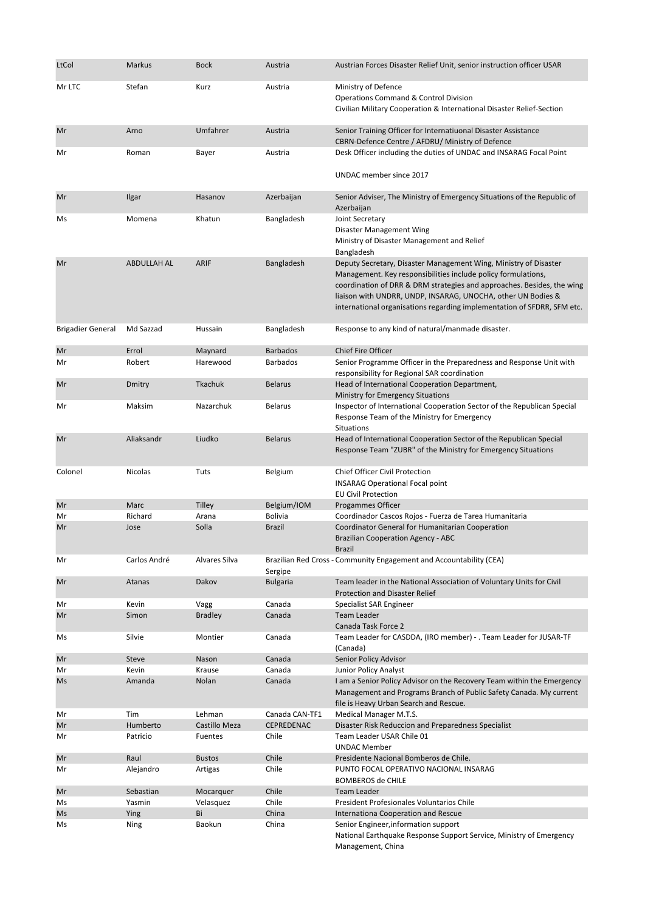| LtCol                    | <b>Markus</b>      | <b>Bock</b>         | Austria                     | Austrian Forces Disaster Relief Unit, senior instruction officer USAR                                                                                                                                                                                                                                                                                  |
|--------------------------|--------------------|---------------------|-----------------------------|--------------------------------------------------------------------------------------------------------------------------------------------------------------------------------------------------------------------------------------------------------------------------------------------------------------------------------------------------------|
| Mr LTC                   | Stefan             | Kurz                | Austria                     | Ministry of Defence<br><b>Operations Command &amp; Control Division</b><br>Civilian Military Cooperation & International Disaster Relief-Section                                                                                                                                                                                                       |
| Mr                       | Arno               | Umfahrer            | Austria                     | Senior Training Officer for Internatiuonal Disaster Assistance<br>CBRN-Defence Centre / AFDRU/ Ministry of Defence                                                                                                                                                                                                                                     |
| Mr                       | Roman              | Bayer               | Austria                     | Desk Officer including the duties of UNDAC and INSARAG Focal Point                                                                                                                                                                                                                                                                                     |
|                          |                    |                     |                             | UNDAC member since 2017                                                                                                                                                                                                                                                                                                                                |
| Mr                       | Ilgar              | Hasanov             | Azerbaijan                  | Senior Adviser, The Ministry of Emergency Situations of the Republic of<br>Azerbaijan                                                                                                                                                                                                                                                                  |
| Ms                       | Momena             | Khatun              | Bangladesh                  | Joint Secretary<br>Disaster Management Wing<br>Ministry of Disaster Management and Relief<br>Bangladesh                                                                                                                                                                                                                                                |
| Mr                       | <b>ABDULLAH AL</b> | <b>ARIF</b>         | Bangladesh                  | Deputy Secretary, Disaster Management Wing, Ministry of Disaster<br>Management. Key responsibilities include policy formulations,<br>coordination of DRR & DRM strategies and approaches. Besides, the wing<br>liaison with UNDRR, UNDP, INSARAG, UNOCHA, other UN Bodies &<br>international organisations regarding implementation of SFDRR, SFM etc. |
| <b>Brigadier General</b> | Md Sazzad          | Hussain             | Bangladesh                  | Response to any kind of natural/manmade disaster.                                                                                                                                                                                                                                                                                                      |
| Mr<br>Mr                 | Errol<br>Robert    | Maynard<br>Harewood | <b>Barbados</b><br>Barbados | <b>Chief Fire Officer</b><br>Senior Programme Officer in the Preparedness and Response Unit with                                                                                                                                                                                                                                                       |
|                          |                    |                     |                             | responsibility for Regional SAR coordination                                                                                                                                                                                                                                                                                                           |
| Mr                       | Dmitry             | Tkachuk             | <b>Belarus</b>              | Head of International Cooperation Department,<br>Ministry for Emergency Situations                                                                                                                                                                                                                                                                     |
| Mr                       | Maksim             | Nazarchuk           | <b>Belarus</b>              | Inspector of International Cooperation Sector of the Republican Special<br>Response Team of the Ministry for Emergency<br>Situations                                                                                                                                                                                                                   |
| Mr                       | Aliaksandr         | Liudko              | <b>Belarus</b>              | Head of International Cooperation Sector of the Republican Special<br>Response Team "ZUBR" of the Ministry for Emergency Situations                                                                                                                                                                                                                    |
| Colonel                  | Nicolas            | Tuts                | Belgium                     | Chief Officer Civil Protection<br><b>INSARAG Operational Focal point</b><br><b>EU Civil Protection</b>                                                                                                                                                                                                                                                 |
| Mr                       | Marc               | <b>Tilley</b>       | Belgium/IOM                 | Progammes Officer                                                                                                                                                                                                                                                                                                                                      |
| Mr                       | Richard            | Arana               | <b>Bolivia</b>              | Coordinador Cascos Rojos - Fuerza de Tarea Humanitaria                                                                                                                                                                                                                                                                                                 |
| Mr                       | Jose               | Solla               | <b>Brazil</b>               | Coordinator General for Humanitarian Cooperation<br><b>Brazilian Cooperation Agency - ABC</b><br><b>Brazil</b>                                                                                                                                                                                                                                         |
| Mr                       | Carlos André       | Alvares Silva       | Sergipe                     | Brazilian Red Cross - Community Engagement and Accountability (CEA)                                                                                                                                                                                                                                                                                    |
| Mr                       | Atanas             | Dakov               | <b>Bulgaria</b>             | Team leader in the National Association of Voluntary Units for Civil<br><b>Protection and Disaster Relief</b>                                                                                                                                                                                                                                          |
| Mr                       | Kevin              | Vagg                | Canada                      | Specialist SAR Engineer                                                                                                                                                                                                                                                                                                                                |
| Mr                       | Simon              | <b>Bradley</b>      | Canada                      | <b>Team Leader</b><br>Canada Task Force 2                                                                                                                                                                                                                                                                                                              |
| Ms                       | Silvie             | Montier             | Canada                      | Team Leader for CASDDA, (IRO member) - . Team Leader for JUSAR-TF<br>(Canada)                                                                                                                                                                                                                                                                          |
| Mr                       | Steve              | Nason               | Canada                      | Senior Policy Advisor                                                                                                                                                                                                                                                                                                                                  |
| Mr                       | Kevin              | Krause              | Canada                      | <b>Junior Policy Analyst</b>                                                                                                                                                                                                                                                                                                                           |
| Ms                       | Amanda             | Nolan               | Canada                      | I am a Senior Policy Advisor on the Recovery Team within the Emergency<br>Management and Programs Branch of Public Safety Canada. My current<br>file is Heavy Urban Search and Rescue.                                                                                                                                                                 |
| Mr                       | Tim                | Lehman              | Canada CAN-TF1              | Medical Manager M.T.S.                                                                                                                                                                                                                                                                                                                                 |
| Mr                       | Humberto           | Castillo Meza       | CEPREDENAC                  | Disaster Risk Reduccion and Preparedness Specialist                                                                                                                                                                                                                                                                                                    |
| Mr                       | Patricio           | Fuentes             | Chile                       | Team Leader USAR Chile 01<br><b>UNDAC Member</b>                                                                                                                                                                                                                                                                                                       |
| Mr                       | Raul               | <b>Bustos</b>       | Chile                       | Presidente Nacional Bomberos de Chile.                                                                                                                                                                                                                                                                                                                 |
| Mr                       | Alejandro          | Artigas             | Chile                       | PUNTO FOCAL OPERATIVO NACIONAL INSARAG<br><b>BOMBEROS de CHILE</b>                                                                                                                                                                                                                                                                                     |
| Mr                       | Sebastian          | Mocarquer           | Chile                       | <b>Team Leader</b>                                                                                                                                                                                                                                                                                                                                     |
| Ms                       | Yasmin             | Velasquez           | Chile                       | President Profesionales Voluntarios Chile                                                                                                                                                                                                                                                                                                              |
| Ms                       | Ying               | Bi                  | China                       | Internationa Cooperation and Rescue                                                                                                                                                                                                                                                                                                                    |
| Ms                       | Ning               | Baokun              | China                       | Senior Engineer, information support<br>National Earthquake Response Support Service, Ministry of Emergency<br>Management, China                                                                                                                                                                                                                       |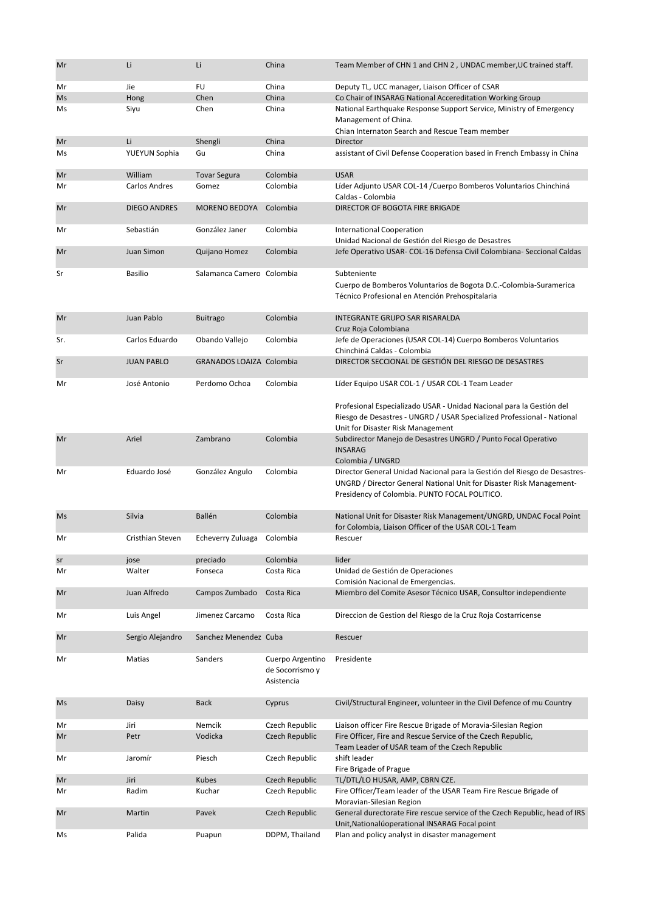| Mr  | Li                  | Li                        | China                                             | Team Member of CHN 1 and CHN 2, UNDAC member, UC trained staff.                                                                                                                                    |
|-----|---------------------|---------------------------|---------------------------------------------------|----------------------------------------------------------------------------------------------------------------------------------------------------------------------------------------------------|
| Mr  | Jie                 | <b>FU</b>                 | China                                             | Deputy TL, UCC manager, Liaison Officer of CSAR                                                                                                                                                    |
| Ms  | Hong                | Chen                      | China                                             | Co Chair of INSARAG National Accereditation Working Group                                                                                                                                          |
| Ms  | Siyu                | Chen                      | China                                             | National Earthquake Response Support Service, Ministry of Emergency<br>Management of China.<br>Chian Internaton Search and Rescue Team member                                                      |
| Mr  | Li                  | Shengli                   | China                                             | <b>Director</b>                                                                                                                                                                                    |
| Ms  | YUEYUN Sophia       | Gu                        | China                                             | assistant of Civil Defense Cooperation based in French Embassy in China                                                                                                                            |
| Mr  | William             | <b>Tovar Segura</b>       | Colombia                                          | <b>USAR</b>                                                                                                                                                                                        |
| Mr  | Carlos Andres       | Gomez                     | Colombia                                          | Líder Adjunto USAR COL-14 / Cuerpo Bomberos Voluntarios Chinchiná<br>Caldas - Colombia                                                                                                             |
| Mr  | <b>DIEGO ANDRES</b> | <b>MORENO BEDOYA</b>      | Colombia                                          | DIRECTOR OF BOGOTA FIRE BRIGADE                                                                                                                                                                    |
| Mr  | Sebastián           | González Janer            | Colombia                                          | <b>International Cooperation</b><br>Unidad Nacional de Gestión del Riesgo de Desastres                                                                                                             |
| Mr  | Juan Simon          | Quijano Homez             | Colombia                                          | Jefe Operativo USAR- COL-16 Defensa Civil Colombiana- Seccional Caldas                                                                                                                             |
| Sr  | <b>Basilio</b>      | Salamanca Camero Colombia |                                                   | Subteniente<br>Cuerpo de Bomberos Voluntarios de Bogota D.C.-Colombia-Suramerica<br>Técnico Profesional en Atención Prehospitalaria                                                                |
| Mr  | Juan Pablo          | <b>Buitrago</b>           | Colombia                                          | <b>INTEGRANTE GRUPO SAR RISARALDA</b><br>Cruz Roja Colombiana                                                                                                                                      |
| Sr. | Carlos Eduardo      | Obando Vallejo            | Colombia                                          | Jefe de Operaciones (USAR COL-14) Cuerpo Bomberos Voluntarios<br>Chinchiná Caldas - Colombia                                                                                                       |
| Sr  | <b>JUAN PABLO</b>   | GRANADOS LOAIZA Colombia  |                                                   | DIRECTOR SECCIONAL DE GESTIÓN DEL RIESGO DE DESASTRES                                                                                                                                              |
| Mr  | José Antonio        | Perdomo Ochoa             | Colombia                                          | Líder Equipo USAR COL-1 / USAR COL-1 Team Leader                                                                                                                                                   |
|     |                     |                           |                                                   | Profesional Especializado USAR - Unidad Nacional para la Gestión del<br>Riesgo de Desastres - UNGRD / USAR Specialized Professional - National<br>Unit for Disaster Risk Management                |
| Mr  | Ariel               | Zambrano                  | Colombia                                          | Subdirector Manejo de Desastres UNGRD / Punto Focal Operativo<br><b>INSARAG</b><br>Colombia / UNGRD                                                                                                |
| Mr  | Eduardo José        | González Angulo           | Colombia                                          | Director General Unidad Nacional para la Gestión del Riesgo de Desastres-<br>UNGRD / Director General National Unit for Disaster Risk Management-<br>Presidency of Colombia. PUNTO FOCAL POLITICO. |
| Ms  | Silvia              | Ballén                    | Colombia                                          | National Unit for Disaster Risk Management/UNGRD, UNDAC Focal Point<br>for Colombia, Liaison Officer of the USAR COL-1 Team                                                                        |
| Mr  | Cristhian Steven    | Echeverry Zuluaga         | Colombia                                          | Rescuer                                                                                                                                                                                            |
| sr  | jose                | preciado                  | Colombia                                          | lider                                                                                                                                                                                              |
| Mr  | Walter              | Fonseca                   | Costa Rica                                        | Unidad de Gestión de Operaciones                                                                                                                                                                   |
|     |                     |                           |                                                   | Comisión Nacional de Emergencias.                                                                                                                                                                  |
| Mr  | Juan Alfredo        | Campos Zumbado            | Costa Rica                                        | Miembro del Comite Asesor Técnico USAR, Consultor independiente                                                                                                                                    |
| Mr  | Luis Angel          | Jimenez Carcamo           | Costa Rica                                        | Direccion de Gestion del Riesgo de la Cruz Roja Costarricense                                                                                                                                      |
| Mr  | Sergio Alejandro    | Sanchez Menendez Cuba     |                                                   | Rescuer                                                                                                                                                                                            |
| Mr  | Matias              | Sanders                   | Cuerpo Argentino<br>de Socorrismo y<br>Asistencia | Presidente                                                                                                                                                                                         |
| Ms  | Daisy               | <b>Back</b>               | Cyprus                                            | Civil/Structural Engineer, volunteer in the Civil Defence of mu Country                                                                                                                            |
| Mr  | Jiri                | Nemcik                    | Czech Republic                                    | Liaison officer Fire Rescue Brigade of Moravia-Silesian Region                                                                                                                                     |
| Mr  | Petr                | Vodicka                   | Czech Republic                                    | Fire Officer, Fire and Rescue Service of the Czech Republic,<br>Team Leader of USAR team of the Czech Republic                                                                                     |
| Mr  | Jaromír             | Piesch                    | Czech Republic                                    | shift leader<br>Fire Brigade of Prague                                                                                                                                                             |
| Mr  | Jiri                | <b>Kubes</b>              | Czech Republic                                    | TL/DTL/LO HUSAR, AMP, CBRN CZE.                                                                                                                                                                    |
| Mr  | Radim               | Kuchar                    | Czech Republic                                    | Fire Officer/Team leader of the USAR Team Fire Rescue Brigade of<br>Moravian-Silesian Region                                                                                                       |
| Mr  | Martin              | Pavek                     | Czech Republic                                    | General durectorate Fire rescue service of the Czech Republic, head of IRS<br>Unit, National ú operational INSARAG Focal point                                                                     |
| Ms  | Palida              | Puapun                    | DDPM, Thailand                                    | Plan and policy analyst in disaster management                                                                                                                                                     |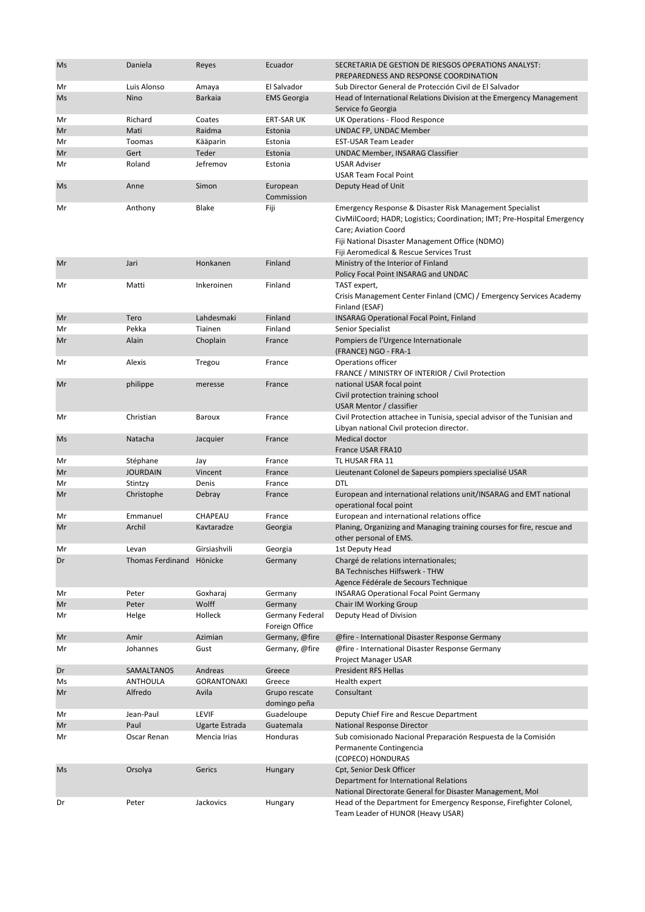| Ms       | Daniela                 | Reyes              | Ecuador                          | SECRETARIA DE GESTION DE RIESGOS OPERATIONS ANALYST:<br>PREPAREDNESS AND RESPONSE COORDINATION                                                                                                                                                             |
|----------|-------------------------|--------------------|----------------------------------|------------------------------------------------------------------------------------------------------------------------------------------------------------------------------------------------------------------------------------------------------------|
| Mr       | Luis Alonso             | Amaya              | El Salvador                      | Sub Director General de Protección Civil de El Salvador                                                                                                                                                                                                    |
| Ms       | Nino                    | <b>Barkaia</b>     | <b>EMS Georgia</b>               | Head of International Relations Division at the Emergency Management                                                                                                                                                                                       |
|          | Richard                 | Coates             | <b>ERT-SAR UK</b>                | Service fo Georgia<br>UK Operations - Flood Responce                                                                                                                                                                                                       |
| Mr<br>Mr | Mati                    | Raidma             | Estonia                          |                                                                                                                                                                                                                                                            |
|          | Toomas                  |                    | Estonia                          | UNDAC FP, UNDAC Member                                                                                                                                                                                                                                     |
| Mr       | Gert                    | Kääparin<br>Teder  | Estonia                          | EST-USAR Team Leader                                                                                                                                                                                                                                       |
| Mr       | Roland                  | Jefremov           | Estonia                          | <b>UNDAC Member, INSARAG Classifier</b><br><b>USAR Adviser</b>                                                                                                                                                                                             |
| Mr       |                         |                    |                                  | <b>USAR Team Focal Point</b>                                                                                                                                                                                                                               |
| Ms       | Anne                    | Simon              | European<br>Commission           | Deputy Head of Unit                                                                                                                                                                                                                                        |
| Mr       | Anthony                 | Blake              | Fiji                             | Emergency Response & Disaster Risk Management Specialist<br>CivMilCoord; HADR; Logistics; Coordination; IMT; Pre-Hospital Emergency<br>Care; Aviation Coord<br>Fiji National Disaster Management Office (NDMO)<br>Fiji Aeromedical & Rescue Services Trust |
| Mr       | Jari                    | Honkanen           | Finland                          | Ministry of the Interior of Finland<br>Policy Focal Point INSARAG and UNDAC                                                                                                                                                                                |
| Mr       | Matti                   | Inkeroinen         | Finland                          | TAST expert,<br>Crisis Management Center Finland (CMC) / Emergency Services Academy<br>Finland (ESAF)                                                                                                                                                      |
| Mr       | Tero                    | Lahdesmaki         | Finland                          | <b>INSARAG Operational Focal Point, Finland</b>                                                                                                                                                                                                            |
| Mr       | Pekka                   | Tiainen            | Finland                          | Senior Specialist                                                                                                                                                                                                                                          |
| Mr       | Alain                   | Choplain           | France                           | Pompiers de l'Urgence Internationale<br>(FRANCE) NGO - FRA-1                                                                                                                                                                                               |
| Mr       | Alexis                  | Tregou             | France                           | Operations officer<br>FRANCE / MINISTRY OF INTERIOR / Civil Protection                                                                                                                                                                                     |
| Mr       | philippe                | meresse            | France                           | national USAR focal point<br>Civil protection training school<br>USAR Mentor / classifier                                                                                                                                                                  |
| Mr       | Christian               | Baroux             | France                           | Civil Protection attachee in Tunisia, special advisor of the Tunisian and                                                                                                                                                                                  |
| Ms       | Natacha                 | Jacquier           | France                           | Libyan national Civil protecion director.<br>Medical doctor                                                                                                                                                                                                |
|          | Stéphane                |                    | France                           | France USAR FRA10<br>TL HUSAR FRA 11                                                                                                                                                                                                                       |
| Mr<br>Mr | <b>JOURDAIN</b>         | Jay<br>Vincent     | France                           | Lieutenant Colonel de Sapeurs pompiers specialisé USAR                                                                                                                                                                                                     |
| Mr       | Stintzy                 | Denis              | France                           | DTL                                                                                                                                                                                                                                                        |
| Mr       | Christophe              | Debray             | France                           | European and international relations unit/INSARAG and EMT national                                                                                                                                                                                         |
|          |                         |                    |                                  | operational focal point                                                                                                                                                                                                                                    |
| Mr       | Emmanuel                | CHAPEAU            | France                           | European and international relations office                                                                                                                                                                                                                |
| Mr       | Archil                  | Kavtaradze         | Georgia                          | Planing, Organizing and Managing training courses for fire, rescue and<br>other personal of EMS.                                                                                                                                                           |
| Mr       | Levan                   | Girsiashvili       | Georgia                          | 1st Deputy Head                                                                                                                                                                                                                                            |
| Dr       | <b>Thomas Ferdinand</b> | Hönicke            | Germany                          | Chargé de relations internationales;<br><b>BA Technisches Hilfswerk - THW</b>                                                                                                                                                                              |
| Mr       | Peter                   | Goxharaj           | Germany                          | Agence Fédérale de Secours Technique<br><b>INSARAG Operational Focal Point Germany</b>                                                                                                                                                                     |
| Mr       | Peter                   | Wolff              | Germany                          | Chair IM Working Group                                                                                                                                                                                                                                     |
| Mr       | Helge                   | Holleck            | Germany Federal                  | Deputy Head of Division                                                                                                                                                                                                                                    |
| Mr       | Amir                    | Azimian            | Foreign Office<br>Germany, @fire | @fire - International Disaster Response Germany                                                                                                                                                                                                            |
| Mr       | Johannes                | Gust               | Germany, @fire                   | @fire - International Disaster Response Germany                                                                                                                                                                                                            |
| Dr       | SAMALTANOS              | Andreas            | Greece                           | Project Manager USAR<br><b>President RFS Hellas</b>                                                                                                                                                                                                        |
| Ms       | <b>ANTHOULA</b>         | <b>GORANTONAKI</b> | Greece                           | Health expert                                                                                                                                                                                                                                              |
| Mr       | Alfredo                 | Avila              | Grupo rescate                    | Consultant                                                                                                                                                                                                                                                 |
|          |                         |                    | domingo peña                     |                                                                                                                                                                                                                                                            |
| Mr       | Jean-Paul               | <b>LEVIF</b>       | Guadeloupe                       | Deputy Chief Fire and Rescue Department                                                                                                                                                                                                                    |
| Mr       | Paul                    | Ugarte Estrada     | Guatemala                        | National Response Director                                                                                                                                                                                                                                 |
| Mr       | Oscar Renan             | Mencia Irias       | Honduras                         | Sub comisionado Nacional Preparación Respuesta de la Comisión<br>Permanente Contingencia<br>(COPECO) HONDURAS                                                                                                                                              |
| Ms       | Orsolya                 | Gerics             | Hungary                          | Cpt, Senior Desk Officer<br>Department for International Relations                                                                                                                                                                                         |
| Dr       | Peter                   | Jackovics          | Hungary                          | National Directorate General for Disaster Management, Mol<br>Head of the Department for Emergency Response, Firefighter Colonel,<br>Team Leader of HUNOR (Heavy USAR)                                                                                      |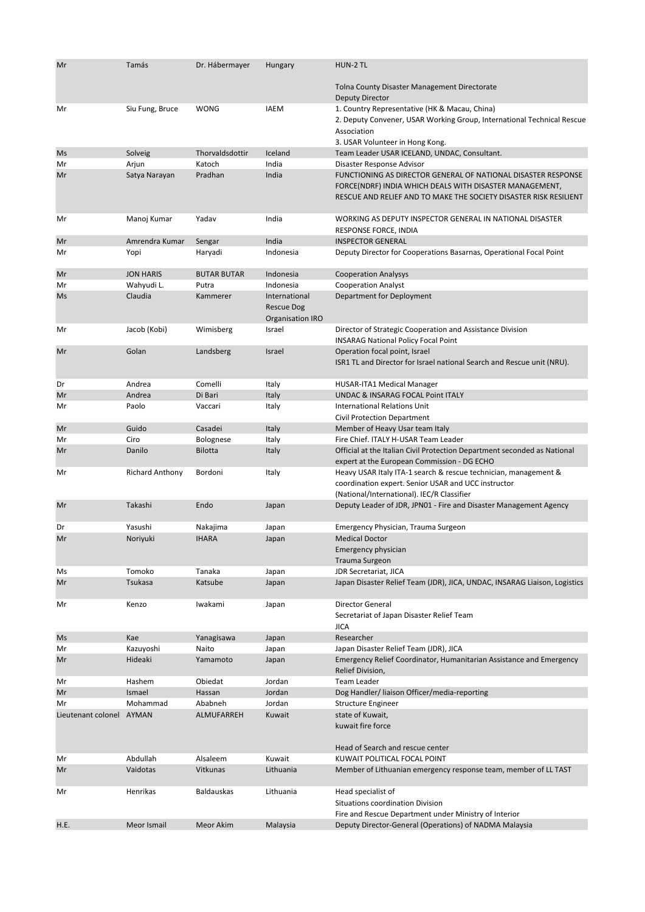| Mr                       | Tamás                  | Dr. Hábermayer                     | Hungary                                                       | HUN-2 TL                                                                                                                                                                                      |
|--------------------------|------------------------|------------------------------------|---------------------------------------------------------------|-----------------------------------------------------------------------------------------------------------------------------------------------------------------------------------------------|
|                          |                        |                                    |                                                               | <b>Tolna County Disaster Management Directorate</b><br><b>Deputy Director</b>                                                                                                                 |
| Mr                       | Siu Fung, Bruce        | <b>WONG</b>                        | <b>IAEM</b>                                                   | 1. Country Representative (HK & Macau, China)<br>2. Deputy Convener, USAR Working Group, International Technical Rescue<br>Association<br>3. USAR Volunteer in Hong Kong.                     |
| Ms                       | Solveig                | Thorvaldsdottir                    | Iceland                                                       | Team Leader USAR ICELAND, UNDAC, Consultant.                                                                                                                                                  |
| Mr                       | Arjun                  | Katoch                             | India                                                         | Disaster Response Advisor                                                                                                                                                                     |
| Mr                       | Satya Narayan          | Pradhan                            | India                                                         | FUNCTIONING AS DIRECTOR GENERAL OF NATIONAL DISASTER RESPONSE<br>FORCE(NDRF) INDIA WHICH DEALS WITH DISASTER MANAGEMENT,<br>RESCUE AND RELIEF AND TO MAKE THE SOCIETY DISASTER RISK RESILIENT |
| Mr                       | Manoj Kumar            | Yadav                              | India                                                         | WORKING AS DEPUTY INSPECTOR GENERAL IN NATIONAL DISASTER<br>RESPONSE FORCE, INDIA                                                                                                             |
| Mr                       | Amrendra Kumar         | Sengar                             | India                                                         | <b>INSPECTOR GENERAL</b>                                                                                                                                                                      |
| Mr                       | Yopi                   | Haryadi                            | Indonesia                                                     | Deputy Director for Cooperations Basarnas, Operational Focal Point                                                                                                                            |
| Mr                       | <b>JON HARIS</b>       | <b>BUTAR BUTAR</b>                 | Indonesia                                                     | <b>Cooperation Analysys</b>                                                                                                                                                                   |
| Mr                       | Wahyudi L.             | Putra                              | Indonesia                                                     | <b>Cooperation Analyst</b>                                                                                                                                                                    |
| Ms                       | Claudia                | Kammerer                           | International<br><b>Rescue Dog</b><br><b>Organisation IRO</b> | Department for Deployment                                                                                                                                                                     |
| Mr                       | Jacob (Kobi)           | Wimisberg                          | Israel                                                        | Director of Strategic Cooperation and Assistance Division<br><b>INSARAG National Policy Focal Point</b>                                                                                       |
| Mr                       | Golan                  | Landsberg                          | Israel                                                        | Operation focal point, Israel                                                                                                                                                                 |
|                          |                        |                                    |                                                               | ISR1 TL and Director for Israel national Search and Rescue unit (NRU).                                                                                                                        |
| Dr                       | Andrea                 | Comelli                            | Italy                                                         | HUSAR-ITA1 Medical Manager                                                                                                                                                                    |
| Mr                       | Andrea                 | Di Bari                            | Italy                                                         | <b>UNDAC &amp; INSARAG FOCAL Point ITALY</b>                                                                                                                                                  |
| Mr                       | Paolo                  | Vaccari                            | Italy                                                         | <b>International Relations Unit</b>                                                                                                                                                           |
|                          |                        |                                    |                                                               | Civil Protection Department                                                                                                                                                                   |
| Mr                       | Guido<br>Ciro          | Casadei                            | Italy                                                         | Member of Heavy Usar team Italy                                                                                                                                                               |
| Mr<br>Mr                 | Danilo                 | <b>Bolognese</b><br><b>Bilotta</b> | Italy<br>Italy                                                | Fire Chief. ITALY H-USAR Team Leader<br>Official at the Italian Civil Protection Department seconded as National<br>expert at the European Commission - DG ECHO                               |
| Mr                       | <b>Richard Anthony</b> | Bordoni                            | Italy                                                         | Heavy USAR Italy ITA-1 search & rescue technician, management &<br>coordination expert. Senior USAR and UCC instructor<br>(National/International). IEC/R Classifier                          |
| Mr                       | Takashi                | Endo                               | Japan                                                         | Deputy Leader of JDR, JPN01 - Fire and Disaster Management Agency                                                                                                                             |
| Dr                       | Yasushi                | Nakajima                           | Japan                                                         | Emergency Physician, Trauma Surgeon                                                                                                                                                           |
| Mr                       | Noriyuki               | <b>IHARA</b>                       | Japan                                                         | <b>Medical Doctor</b><br>Emergency physician<br><b>Trauma Surgeon</b>                                                                                                                         |
| Ms                       | Tomoko                 | Tanaka                             | Japan                                                         | JDR Secretariat, JICA                                                                                                                                                                         |
| Mr                       | <b>Tsukasa</b>         | Katsube                            | Japan                                                         | Japan Disaster Relief Team (JDR), JICA, UNDAC, INSARAG Liaison, Logistics                                                                                                                     |
| Mr                       | Kenzo                  | Iwakami                            | Japan                                                         | Director General<br>Secretariat of Japan Disaster Relief Team<br><b>JICA</b>                                                                                                                  |
| Ms                       | Kae                    | Yanagisawa                         | Japan                                                         | Researcher                                                                                                                                                                                    |
| Mr                       | Kazuyoshi              | Naito                              | Japan                                                         | Japan Disaster Relief Team (JDR), JICA                                                                                                                                                        |
| Mr                       | Hideaki                | Yamamoto                           | Japan                                                         | Emergency Relief Coordinator, Humanitarian Assistance and Emergency<br>Relief Division,                                                                                                       |
| Mr                       | Hashem                 | Obiedat                            | Jordan                                                        | <b>Team Leader</b>                                                                                                                                                                            |
| Mr                       | Ismael                 | Hassan                             | Jordan                                                        | Dog Handler/Iiaison Officer/media-reporting                                                                                                                                                   |
| Mr                       | Mohammad               | Ababneh                            | Jordan                                                        | <b>Structure Engineer</b>                                                                                                                                                                     |
| Lieutenant colonel AYMAN |                        | ALMUFARREH                         | Kuwait                                                        | state of Kuwait,<br>kuwait fire force<br>Head of Search and rescue center                                                                                                                     |
| Mr                       | Abdullah               | Alsaleem                           | Kuwait                                                        | KUWAIT POLITICAL FOCAL POINT                                                                                                                                                                  |
| Mr                       | Vaidotas               | Vitkunas                           | Lithuania                                                     | Member of Lithuanian emergency response team, member of LL TAST                                                                                                                               |
| Mr                       | Henrikas               | <b>Baldauskas</b>                  | Lithuania                                                     | Head specialist of<br>Situations coordination Division                                                                                                                                        |
|                          |                        |                                    |                                                               | Fire and Rescue Department under Ministry of Interior                                                                                                                                         |
| H.E.                     | Meor Ismail            | Meor Akim                          | Malaysia                                                      | Deputy Director-General (Operations) of NADMA Malaysia                                                                                                                                        |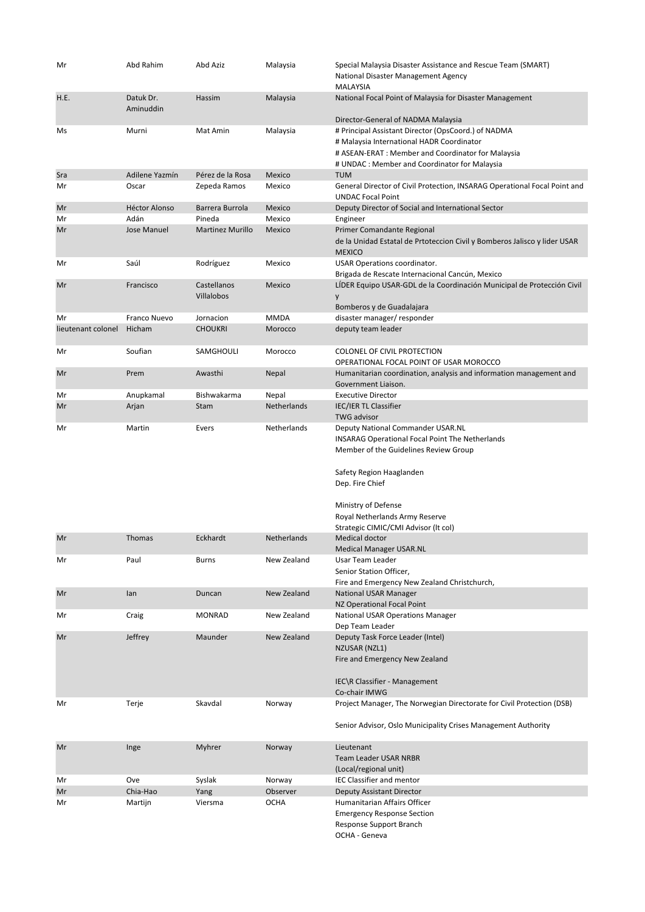| Mr                 | Abd Rahim              | Abd Aziz                  | Malaysia           | Special Malaysia Disaster Assistance and Rescue Team (SMART)<br>National Disaster Management Agency<br><b>MALAYSIA</b>                                                                                                                                                        |
|--------------------|------------------------|---------------------------|--------------------|-------------------------------------------------------------------------------------------------------------------------------------------------------------------------------------------------------------------------------------------------------------------------------|
| H.E.               | Datuk Dr.<br>Aminuddin | Hassim                    | Malaysia           | National Focal Point of Malaysia for Disaster Management<br>Director-General of NADMA Malaysia                                                                                                                                                                                |
| Ms                 | Murni                  | Mat Amin                  | Malaysia           | # Principal Assistant Director (OpsCoord.) of NADMA<br># Malaysia International HADR Coordinator<br># ASEAN-ERAT : Member and Coordinator for Malaysia<br># UNDAC : Member and Coordinator for Malaysia                                                                       |
| Sra                | Adilene Yazmín         | Pérez de la Rosa          | Mexico             | <b>TUM</b>                                                                                                                                                                                                                                                                    |
| Mr                 | Oscar                  | Zepeda Ramos              | Mexico             | General Director of Civil Protection, INSARAG Operational Focal Point and<br><b>UNDAC Focal Point</b>                                                                                                                                                                         |
| Mr                 | <b>Héctor Alonso</b>   | Barrera Burrola           | Mexico             | Deputy Director of Social and International Sector                                                                                                                                                                                                                            |
| Mr                 | Adán                   | Pineda                    | Mexico             | Engineer                                                                                                                                                                                                                                                                      |
| Mr                 | <b>Jose Manuel</b>     | <b>Martinez Murillo</b>   | Mexico             | Primer Comandante Regional<br>de la Unidad Estatal de Prtoteccion Civil y Bomberos Jalisco y lider USAR<br><b>MEXICO</b>                                                                                                                                                      |
| Mr                 | Saúl                   | Rodríguez                 | Mexico             | USAR Operations coordinator.<br>Brigada de Rescate Internacional Cancún, Mexico                                                                                                                                                                                               |
| Mr                 | Francisco              | Castellanos<br>Villalobos | Mexico             | LIDER Equipo USAR-GDL de la Coordinación Municipal de Protección Civil<br>y<br>Bomberos y de Guadalajara                                                                                                                                                                      |
| Mr                 | Franco Nuevo           | Jornacion                 | <b>MMDA</b>        | disaster manager/ responder                                                                                                                                                                                                                                                   |
| lieutenant colonel | Hicham                 | <b>CHOUKRI</b>            | Morocco            | deputy team leader                                                                                                                                                                                                                                                            |
| Mr                 | Soufian                | SAMGHOULI                 | Morocco            | <b>COLONEL OF CIVIL PROTECTION</b><br>OPERATIONAL FOCAL POINT OF USAR MOROCCO                                                                                                                                                                                                 |
| Mr                 | Prem                   | Awasthi                   | Nepal              | Humanitarian coordination, analysis and information management and<br>Government Liaison.                                                                                                                                                                                     |
| Mr                 | Anupkamal              | Bishwakarma               | Nepal              | <b>Executive Director</b>                                                                                                                                                                                                                                                     |
| Mr                 | Arjan                  | Stam                      | Netherlands        | IEC/IER TL Classifier                                                                                                                                                                                                                                                         |
|                    |                        |                           | Netherlands        | <b>TWG advisor</b>                                                                                                                                                                                                                                                            |
| Mr                 | Martin                 | Evers                     |                    | Deputy National Commander USAR.NL<br>INSARAG Operational Focal Point The Netherlands<br>Member of the Guidelines Review Group<br>Safety Region Haaglanden<br>Dep. Fire Chief<br>Ministry of Defense<br>Royal Netherlands Army Reserve<br>Strategic CIMIC/CMI Advisor (It col) |
| Mr                 | <b>Thomas</b>          | Eckhardt                  | <b>Netherlands</b> | <b>Medical doctor</b>                                                                                                                                                                                                                                                         |
|                    |                        |                           |                    | <b>Medical Manager USAR.NL</b>                                                                                                                                                                                                                                                |
| Mr                 | Paul                   | Burns                     | New Zealand        | Usar Team Leader<br>Senior Station Officer,                                                                                                                                                                                                                                   |
| Mr                 | lan                    | Duncan                    | New Zealand        | Fire and Emergency New Zealand Christchurch,<br>National USAR Manager                                                                                                                                                                                                         |
| Mr                 | Craig                  | <b>MONRAD</b>             | New Zealand        | NZ Operational Focal Point<br><b>National USAR Operations Manager</b>                                                                                                                                                                                                         |
| Mr                 | Jeffrey                | Maunder                   | New Zealand        | Dep Team Leader<br>Deputy Task Force Leader (Intel)                                                                                                                                                                                                                           |
|                    |                        |                           |                    | NZUSAR (NZL1)<br>Fire and Emergency New Zealand<br>IEC\R Classifier - Management<br>Co-chair IMWG                                                                                                                                                                             |
| Mr                 | Terje                  | Skavdal                   | Norway             | Project Manager, The Norwegian Directorate for Civil Protection (DSB)                                                                                                                                                                                                         |
|                    |                        |                           |                    | Senior Advisor, Oslo Municipality Crises Management Authority                                                                                                                                                                                                                 |
| Mr                 | Inge                   | Myhrer                    | Norway             | Lieutenant<br><b>Team Leader USAR NRBR</b><br>(Local/regional unit)                                                                                                                                                                                                           |
| Mr                 | Ove                    | Syslak                    | Norway             | <b>IEC Classifier and mentor</b>                                                                                                                                                                                                                                              |
| Mr                 | Chia-Hao               | Yang                      | Observer           | <b>Deputy Assistant Director</b>                                                                                                                                                                                                                                              |
| Mr                 | Martijn                | Viersma                   | <b>OCHA</b>        | Humanitarian Affairs Officer<br><b>Emergency Response Section</b><br>Response Support Branch<br>OCHA - Geneva                                                                                                                                                                 |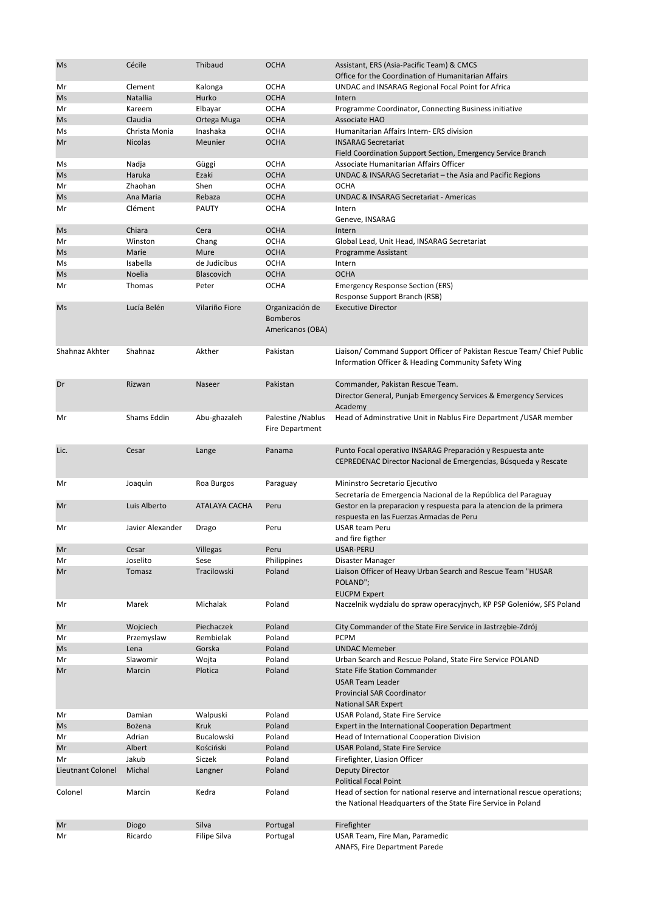| Ms                | Cécile           | Thibaud          | <b>OCHA</b>                                            | Assistant, ERS (Asia-Pacific Team) & CMCS                                                                                                  |
|-------------------|------------------|------------------|--------------------------------------------------------|--------------------------------------------------------------------------------------------------------------------------------------------|
|                   | Clement          |                  | <b>OCHA</b>                                            | Office for the Coordination of Humanitarian Affairs<br>UNDAC and INSARAG Regional Focal Point for Africa                                   |
| Mr<br>Ms          | Natallia         | Kalonga<br>Hurko | <b>OCHA</b>                                            | Intern                                                                                                                                     |
| Mr                | Kareem           | Elbayar          | <b>OCHA</b>                                            | Programme Coordinator, Connecting Business initiative                                                                                      |
| Ms                | Claudia          | Ortega Muga      | <b>OCHA</b>                                            | <b>Associate HAO</b>                                                                                                                       |
| Ms                | Christa Monia    | Inashaka         | <b>OCHA</b>                                            | Humanitarian Affairs Intern- ERS division                                                                                                  |
| Mr                | <b>Nicolas</b>   | Meunier          | <b>OCHA</b>                                            | <b>INSARAG Secretariat</b><br>Field Coordination Support Section, Emergency Service Branch                                                 |
| Ms                | Nadja            | Güggi            | <b>OCHA</b>                                            | Associate Humanitarian Affairs Officer                                                                                                     |
| Ms                | Haruka           | Ezaki            | <b>OCHA</b>                                            | UNDAC & INSARAG Secretariat - the Asia and Pacific Regions                                                                                 |
| Mr                | Zhaohan          | Shen             | <b>OCHA</b>                                            | OCHA                                                                                                                                       |
| Ms                | Ana Maria        | Rebaza           | <b>OCHA</b>                                            | UNDAC & INSARAG Secretariat - Americas                                                                                                     |
| Mr                | Clément          | PAUTY            | <b>OCHA</b>                                            | Intern<br>Geneve, INSARAG                                                                                                                  |
| <b>Ms</b>         | Chiara           | Cera             | <b>OCHA</b>                                            | Intern                                                                                                                                     |
| Mr                | Winston          | Chang            | <b>OCHA</b>                                            | Global Lead, Unit Head, INSARAG Secretariat                                                                                                |
| Ms                | Marie            | Mure             | <b>OCHA</b>                                            | Programme Assistant                                                                                                                        |
| Ms                | Isabella         | de Judicibus     | <b>OCHA</b>                                            | Intern                                                                                                                                     |
| Ms                | Noelia           | Blascovich       | <b>OCHA</b>                                            | <b>OCHA</b>                                                                                                                                |
| Mr                | Thomas           | Peter            | <b>OCHA</b>                                            | <b>Emergency Response Section (ERS)</b><br>Response Support Branch (RSB)                                                                   |
| Ms                | Lucía Belén      | Vilariño Fiore   | Organización de<br><b>Bomberos</b><br>Americanos (OBA) | <b>Executive Director</b>                                                                                                                  |
| Shahnaz Akhter    | Shahnaz          | Akther           | Pakistan                                               | Liaison/ Command Support Officer of Pakistan Rescue Team/ Chief Public<br>Information Officer & Heading Community Safety Wing              |
| Dr                | Rizwan           | Naseer           | Pakistan                                               | Commander, Pakistan Rescue Team.<br>Director General, Punjab Emergency Services & Emergency Services<br>Academy                            |
| Mr                | Shams Eddin      | Abu-ghazaleh     | Palestine / Nablus<br><b>Fire Department</b>           | Head of Adminstrative Unit in Nablus Fire Department / USAR member                                                                         |
| Lic.              | Cesar            | Lange            | Panama                                                 | Punto Focal operativo INSARAG Preparación y Respuesta ante<br>CEPREDENAC Director Nacional de Emergencias, Búsqueda y Rescate              |
| Mr                | Joaquin          | Roa Burgos       | Paraguay                                               | Mininstro Secretario Ejecutivo<br>Secretaría de Emergencia Nacional de la República del Paraguay                                           |
| Mr                | Luis Alberto     | ATALAYA CACHA    | Peru                                                   | Gestor en la preparacion y respuesta para la atencion de la primera<br>respuesta en las Fuerzas Armadas de Peru                            |
| Mr                | Javier Alexander | Drago            | Peru                                                   | <b>USAR team Peru</b><br>and fire figther                                                                                                  |
| Mr                | Cesar            | Villegas         | Peru                                                   | USAR-PERU                                                                                                                                  |
| Mr                | Joselito         | Sese             | Philippines                                            | Disaster Manager                                                                                                                           |
| Mr                | Tomasz           | Tracilowski      | Poland                                                 | Liaison Officer of Heavy Urban Search and Rescue Team "HUSAR<br>POLAND";<br><b>EUCPM Expert</b>                                            |
| Mr                | Marek            | Michalak         | Poland                                                 | Naczelnik wydziału do spraw operacyjnych, KP PSP Goleniów, SFS Poland                                                                      |
| Mr                | Wojciech         | Piechaczek       | Poland                                                 | City Commander of the State Fire Service in Jastrzębie-Zdrój                                                                               |
| Mr                | Przemyslaw       | Rembielak        | Poland                                                 | <b>PCPM</b>                                                                                                                                |
| Ms                | Lena             | Gorska           | Poland                                                 | <b>UNDAC Memeber</b>                                                                                                                       |
| Mr                | Slawomir         | Wojta            | Poland                                                 | Urban Search and Rescue Poland, State Fire Service POLAND                                                                                  |
| Mr                | Marcin           | Plotica          | Poland                                                 | <b>State Fife Station Commander</b><br><b>USAR Team Leader</b><br><b>Provincial SAR Coordinator</b><br><b>National SAR Expert</b>          |
| Mr                | Damian           | Walpuski         | Poland                                                 | USAR Poland, State Fire Service                                                                                                            |
| Ms                | Bożena           | <b>Kruk</b>      | Poland                                                 | Expert in the International Cooperation Department                                                                                         |
| Mr                | Adrian           | Bucalowski       | Poland                                                 | Head of International Cooperation Division                                                                                                 |
| Mr                | Albert           | Kościński        | Poland                                                 | <b>USAR Poland, State Fire Service</b>                                                                                                     |
| Mr                | Jakub            | Siczek           | Poland                                                 | Firefighter, Liasion Officer                                                                                                               |
| Lieutnant Colonel | Michal           | Langner          | Poland                                                 | <b>Deputy Director</b><br><b>Political Focal Point</b>                                                                                     |
| Colonel           | Marcin           | Kedra            | Poland                                                 | Head of section for national reserve and international rescue operations;<br>the National Headquarters of the State Fire Service in Poland |
| Mr                | Diogo            | Silva            | Portugal                                               | Firefighter                                                                                                                                |
| Mr                | Ricardo          | Filipe Silva     | Portugal                                               | USAR Team, Fire Man, Paramedic                                                                                                             |
|                   |                  |                  |                                                        | ANAFS, Fire Department Parede                                                                                                              |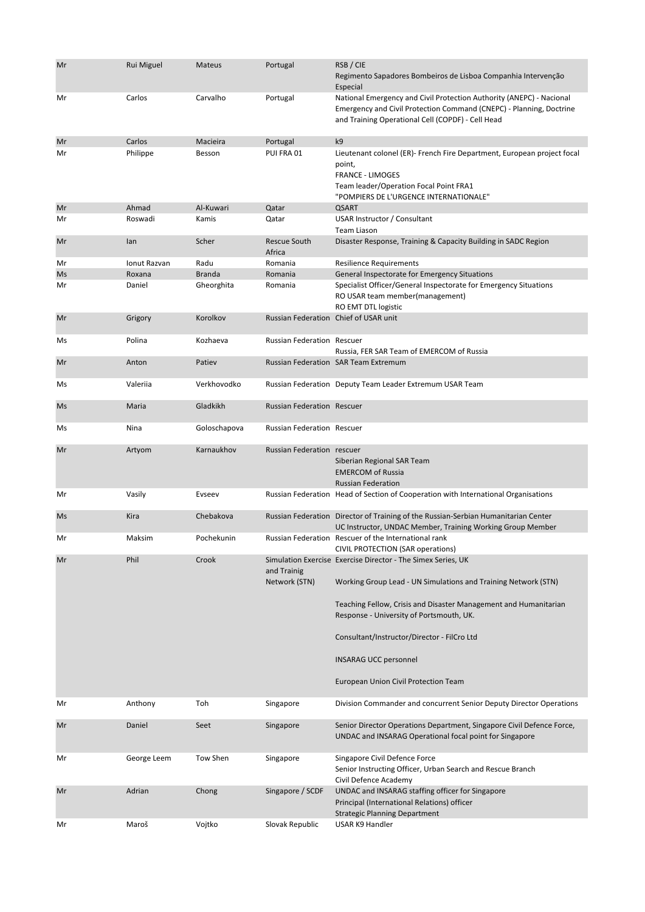| Mr | Rui Miguel   | <b>Mateus</b> | Portugal                              | RSB / CIE<br>Regimento Sapadores Bombeiros de Lisboa Companhia Intervenção<br>Especial                                                                                                           |
|----|--------------|---------------|---------------------------------------|--------------------------------------------------------------------------------------------------------------------------------------------------------------------------------------------------|
| Mr | Carlos       | Carvalho      | Portugal                              | National Emergency and Civil Protection Authority (ANEPC) - Nacional<br>Emergency and Civil Protection Command (CNEPC) - Planning, Doctrine<br>and Training Operational Cell (COPDF) - Cell Head |
| Mr | Carlos       | Macieira      | Portugal                              | k9                                                                                                                                                                                               |
| Mr | Philippe     | Besson        | PUI FRA 01                            | Lieutenant colonel (ER)- French Fire Department, European project focal<br>point,<br><b>FRANCE - LIMOGES</b><br>Team leader/Operation Focal Point FRA1<br>"POMPIERS DE L'URGENCE INTERNATIONALE" |
| Mr | Ahmad        | Al-Kuwari     | Qatar                                 | <b>QSART</b>                                                                                                                                                                                     |
| Mr | Roswadi      | Kamis         | Qatar                                 | USAR Instructor / Consultant<br>Team Liason                                                                                                                                                      |
| Mr | lan          | Scher         | <b>Rescue South</b><br>Africa         | Disaster Response, Training & Capacity Building in SADC Region                                                                                                                                   |
| Mr | Ionut Razvan | Radu          | Romania                               | <b>Resilience Requirements</b>                                                                                                                                                                   |
| Ms | Roxana       | <b>Branda</b> | Romania                               | General Inspectorate for Emergency Situations                                                                                                                                                    |
| Mr | Daniel       | Gheorghita    | Romania                               | Specialist Officer/General Inspectorate for Emergency Situations<br>RO USAR team member (management)<br>RO EMT DTL logistic                                                                      |
| Mr | Grigory      | Korolkov      | Russian Federation Chief of USAR unit |                                                                                                                                                                                                  |
| Ms | Polina       | Kozhaeva      | <b>Russian Federation Rescuer</b>     | Russia, FER SAR Team of EMERCOM of Russia                                                                                                                                                        |
| Mr | Anton        | Patiev        |                                       | <b>Russian Federation SAR Team Extremum</b>                                                                                                                                                      |
| Ms | Valeriia     | Verkhovodko   |                                       | Russian Federation Deputy Team Leader Extremum USAR Team                                                                                                                                         |
| Ms | Maria        | Gladkikh      | <b>Russian Federation Rescuer</b>     |                                                                                                                                                                                                  |
| Ms | Nina         | Goloschapova  | <b>Russian Federation Rescuer</b>     |                                                                                                                                                                                                  |
| Mr | Artyom       | Karnaukhov    | Russian Federation rescuer            | Siberian Regional SAR Team<br><b>EMERCOM of Russia</b><br><b>Russian Federation</b>                                                                                                              |
| Mr | Vasily       | Evseev        |                                       | Russian Federation Head of Section of Cooperation with International Organisations                                                                                                               |
| Ms | Kira         | Chebakova     |                                       | Russian Federation Director of Training of the Russian-Serbian Humanitarian Center<br>UC Instructor, UNDAC Member, Training Working Group Member                                                 |
| Mr | Maksim       | Pochekunin    |                                       | Russian Federation Rescuer of the International rank                                                                                                                                             |
| Mr | Phil         | Crook         | and Trainig                           | CIVIL PROTECTION (SAR operations)<br>Simulation Exercise Exercise Director - The Simex Series, UK                                                                                                |
|    |              |               | Network (STN)                         | Working Group Lead - UN Simulations and Training Network (STN)                                                                                                                                   |
|    |              |               |                                       | Teaching Fellow, Crisis and Disaster Management and Humanitarian<br>Response - University of Portsmouth, UK.                                                                                     |
|    |              |               |                                       | Consultant/Instructor/Director - FilCro Ltd                                                                                                                                                      |
|    |              |               |                                       | <b>INSARAG UCC personnel</b>                                                                                                                                                                     |
|    |              |               |                                       | European Union Civil Protection Team                                                                                                                                                             |
| Mr | Anthony      | Toh           | Singapore                             | Division Commander and concurrent Senior Deputy Director Operations                                                                                                                              |
| Mr | Daniel       | Seet          | Singapore                             | Senior Director Operations Department, Singapore Civil Defence Force,<br>UNDAC and INSARAG Operational focal point for Singapore                                                                 |
| Mr | George Leem  | Tow Shen      | Singapore                             | Singapore Civil Defence Force<br>Senior Instructing Officer, Urban Search and Rescue Branch<br>Civil Defence Academy                                                                             |
| Mr | Adrian       | Chong         | Singapore / SCDF                      | UNDAC and INSARAG staffing officer for Singapore<br>Principal (International Relations) officer                                                                                                  |
| Mr | Maroš        | Vojtko        | Slovak Republic                       | <b>Strategic Planning Department</b><br>USAR K9 Handler                                                                                                                                          |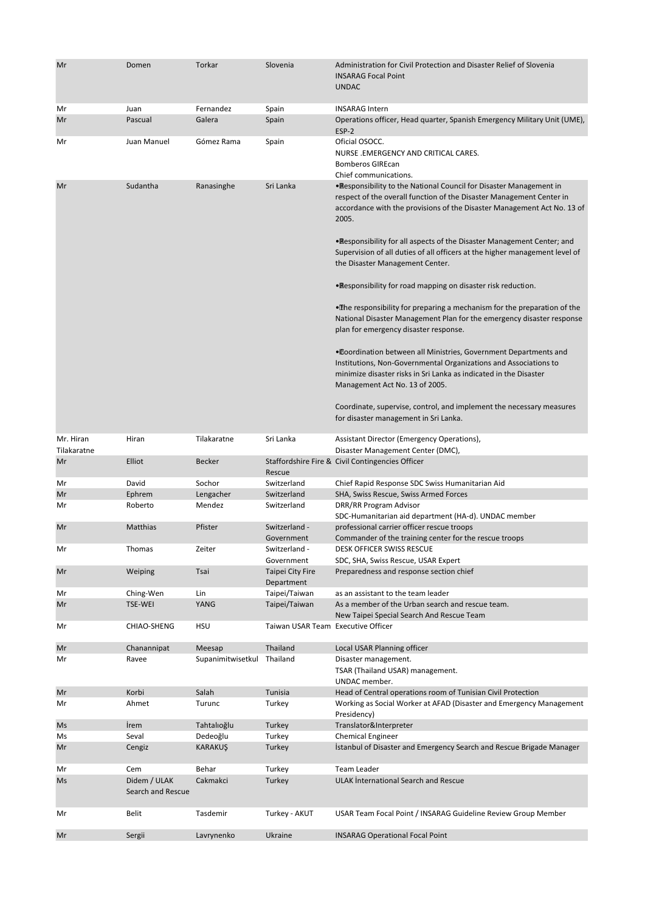| Mr                       | Domen                             | Torkar            | Slovenia                           | Administration for Civil Protection and Disaster Relief of Slovenia<br><b>INSARAG Focal Point</b><br><b>UNDAC</b>                                                                                                                            |
|--------------------------|-----------------------------------|-------------------|------------------------------------|----------------------------------------------------------------------------------------------------------------------------------------------------------------------------------------------------------------------------------------------|
| Mr                       | Juan                              | Fernandez         | Spain                              | <b>INSARAG Intern</b>                                                                                                                                                                                                                        |
| Mr                       | Pascual                           | Galera            | Spain                              | Operations officer, Head quarter, Spanish Emergency Military Unit (UME),<br>ESP-2                                                                                                                                                            |
| Mr                       | Juan Manuel                       | Gómez Rama        | Spain                              | Oficial OSOCC.<br>NURSE .EMERGENCY AND CRITICAL CARES.<br><b>Bomberos GIREcan</b><br>Chief communications.                                                                                                                                   |
| Mr                       | Sudantha                          | Ranasinghe        | Sri Lanka                          | . Responsibility to the National Council for Disaster Management in<br>respect of the overall function of the Disaster Management Center in<br>accordance with the provisions of the Disaster Management Act No. 13 of<br>2005.              |
|                          |                                   |                   |                                    | • Responsibility for all aspects of the Disaster Management Center; and<br>Supervision of all duties of all officers at the higher management level of<br>the Disaster Management Center.                                                    |
|                          |                                   |                   |                                    | . Responsibility for road mapping on disaster risk reduction.                                                                                                                                                                                |
|                          |                                   |                   |                                    | . The responsibility for preparing a mechanism for the preparation of the<br>National Disaster Management Plan for the emergency disaster response<br>plan for emergency disaster response.                                                  |
|                          |                                   |                   |                                    | • Coordination between all Ministries, Government Departments and<br>Institutions, Non-Governmental Organizations and Associations to<br>minimize disaster risks in Sri Lanka as indicated in the Disaster<br>Management Act No. 13 of 2005. |
|                          |                                   |                   |                                    | Coordinate, supervise, control, and implement the necessary measures<br>for disaster management in Sri Lanka.                                                                                                                                |
| Mr. Hiran<br>Tilakaratne | Hiran                             | Tilakaratne       | Sri Lanka                          | Assistant Director (Emergency Operations),<br>Disaster Management Center (DMC),                                                                                                                                                              |
| Mr                       | Elliot                            | Becker            | Rescue                             | Staffordshire Fire & Civil Contingencies Officer                                                                                                                                                                                             |
| Mr                       | David                             | Sochor            | Switzerland                        | Chief Rapid Response SDC Swiss Humanitarian Aid                                                                                                                                                                                              |
| Mr                       | Ephrem                            | Lengacher         | Switzerland                        | SHA, Swiss Rescue, Swiss Armed Forces                                                                                                                                                                                                        |
| Mr                       | Roberto                           | Mendez            | Switzerland                        | DRR/RR Program Advisor<br>SDC-Humanitarian aid department (HA-d). UNDAC member                                                                                                                                                               |
| Mr                       | <b>Matthias</b>                   | Pfister           | Switzerland -<br>Government        | professional carrier officer rescue troops<br>Commander of the training center for the rescue troops                                                                                                                                         |
| Mr                       | Thomas                            | Zeiter            | Switzerland -<br>Government        | DESK OFFICER SWISS RESCUE<br>SDC, SHA, Swiss Rescue, USAR Expert                                                                                                                                                                             |
| Mr                       | Weiping                           | Tsai              | Taipei City Fire<br>Department     | Preparedness and response section chief                                                                                                                                                                                                      |
| Mr                       | Ching-Wen                         | Lin               | Taipei/Taiwan                      | as an assistant to the team leader                                                                                                                                                                                                           |
| Mr                       | <b>TSE-WEI</b>                    | YANG              | Taipei/Taiwan                      | As a member of the Urban search and rescue team.<br>New Taipei Special Search And Rescue Team                                                                                                                                                |
| Mr                       | CHIAO-SHENG                       | <b>HSU</b>        | Taiwan USAR Team Executive Officer |                                                                                                                                                                                                                                              |
| Mr                       | Chanannipat                       | Meesap            | Thailand                           | Local USAR Planning officer                                                                                                                                                                                                                  |
| Mr                       | Ravee                             | Supanimitwisetkul | Thailand                           | Disaster management.<br>TSAR (Thailand USAR) management.<br>UNDAC member.                                                                                                                                                                    |
| Mr                       | Korbi                             | Salah             | Tunisia                            | Head of Central operations room of Tunisian Civil Protection                                                                                                                                                                                 |
| Mr                       | Ahmet                             | Turunc            | Turkey                             | Working as Social Worker at AFAD (Disaster and Emergency Management<br>Presidency)                                                                                                                                                           |
| Ms                       | <i>i</i> rem                      | Tahtalioğlu       | Turkey                             | Translator&Interpreter                                                                                                                                                                                                                       |
| Ms                       | Seval                             | Dedeoğlu          | Turkey                             | <b>Chemical Engineer</b>                                                                                                                                                                                                                     |
| Mr                       | Cengiz                            | <b>KARAKUŞ</b>    | Turkey                             | Istanbul of Disaster and Emergency Search and Rescue Brigade Manager                                                                                                                                                                         |
| Mr                       | Cem                               | Behar             | Turkey                             | Team Leader                                                                                                                                                                                                                                  |
| Ms                       | Didem / ULAK<br>Search and Rescue | Cakmakci          | Turkey                             | ULAK International Search and Rescue                                                                                                                                                                                                         |
| Mr                       | Belit                             | Tasdemir          | Turkey - AKUT                      | USAR Team Focal Point / INSARAG Guideline Review Group Member                                                                                                                                                                                |
| Mr                       | Sergii                            | Lavrynenko        | Ukraine                            | <b>INSARAG Operational Focal Point</b>                                                                                                                                                                                                       |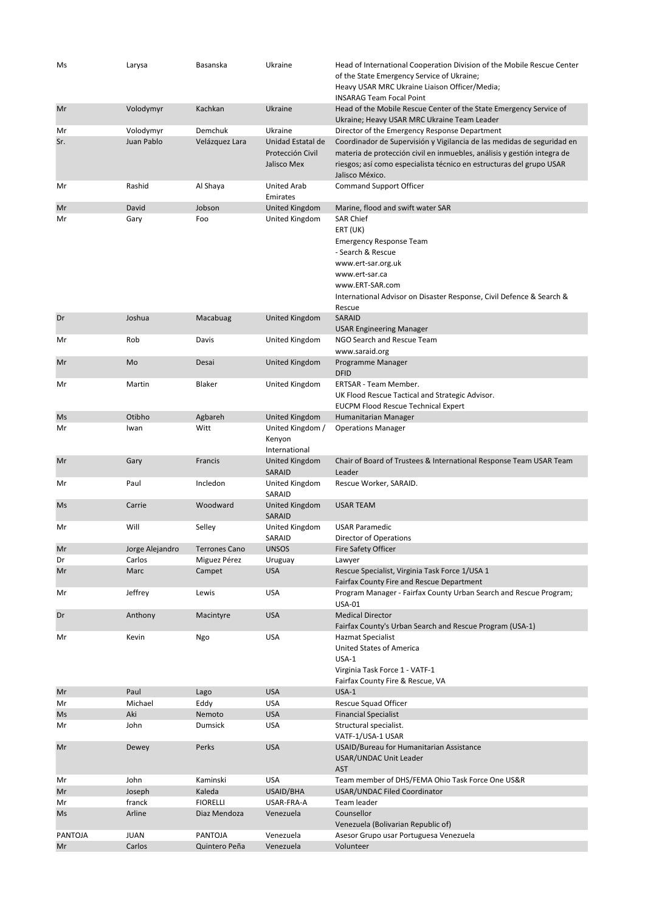| Ms      | Larysa          | Basanska             | Ukraine                                              | Head of International Cooperation Division of the Mobile Rescue Center<br>of the State Emergency Service of Ukraine;<br>Heavy USAR MRC Ukraine Liaison Officer/Media;<br><b>INSARAG Team Focal Point</b>                                     |
|---------|-----------------|----------------------|------------------------------------------------------|----------------------------------------------------------------------------------------------------------------------------------------------------------------------------------------------------------------------------------------------|
| Mr      | Volodymyr       | Kachkan              | Ukraine                                              | Head of the Mobile Rescue Center of the State Emergency Service of<br>Ukraine; Heavy USAR MRC Ukraine Team Leader                                                                                                                            |
| Mr      | Volodymyr       | Demchuk              | Ukraine                                              | Director of the Emergency Response Department                                                                                                                                                                                                |
| Sr.     | Juan Pablo      | Velázquez Lara       | Unidad Estatal de<br>Protección Civil<br>Jalisco Mex | Coordinador de Supervisión y Vigilancia de las medidas de seguridad en<br>materia de protección civil en inmuebles, análisis y gestión integra de<br>riesgos; así como especialista técnico en estructuras del grupo USAR<br>Jalisco México. |
| Mr      | Rashid          | Al Shaya             | <b>United Arab</b><br>Emirates                       | <b>Command Support Officer</b>                                                                                                                                                                                                               |
| Mr      | David           | Jobson               | United Kingdom                                       | Marine, flood and swift water SAR                                                                                                                                                                                                            |
| Mr      | Gary            | Foo                  | United Kingdom                                       | <b>SAR Chief</b><br>ERT (UK)<br><b>Emergency Response Team</b><br>- Search & Rescue<br>www.ert-sar.org.uk<br>www.ert-sar.ca<br>www.ERT-SAR.com<br>International Advisor on Disaster Response, Civil Defence & Search &<br>Rescue             |
| Dr      | Joshua          | Macabuag             | <b>United Kingdom</b>                                | SARAID<br><b>USAR Engineering Manager</b>                                                                                                                                                                                                    |
| Mr      | Rob             | Davis                | United Kingdom                                       | NGO Search and Rescue Team<br>www.saraid.org                                                                                                                                                                                                 |
| Mr      | Mo              | Desai                | United Kingdom                                       | Programme Manager                                                                                                                                                                                                                            |
|         |                 |                      |                                                      | <b>DFID</b>                                                                                                                                                                                                                                  |
| Mr      | Martin          | Blaker               | United Kingdom                                       | ERTSAR - Team Member.<br>UK Flood Rescue Tactical and Strategic Advisor.<br><b>EUCPM Flood Rescue Technical Expert</b>                                                                                                                       |
| Ms      | Otibho          | Agbareh              | <b>United Kingdom</b>                                | Humanitarian Manager                                                                                                                                                                                                                         |
| Mr      | Iwan            | Witt                 | United Kingdom /<br>Kenyon<br>International          | <b>Operations Manager</b>                                                                                                                                                                                                                    |
| Mr      | Gary            | Francis              | United Kingdom<br>SARAID                             | Chair of Board of Trustees & International Response Team USAR Team<br>Leader                                                                                                                                                                 |
| Mr      | Paul            | Incledon             | United Kingdom<br>SARAID                             | Rescue Worker, SARAID.                                                                                                                                                                                                                       |
| Ms      | Carrie          | Woodward             | United Kingdom<br>SARAID                             | <b>USAR TEAM</b>                                                                                                                                                                                                                             |
| Mr      | Will            | Selley               | United Kingdom<br>SARAID                             | <b>USAR Paramedic</b><br>Director of Operations                                                                                                                                                                                              |
| Mr      | Jorge Alejandro | <b>Terrones Cano</b> | <b>UNSOS</b>                                         | Fire Safety Officer                                                                                                                                                                                                                          |
| Dr      | Carlos          | Miguez Pérez         | Uruguay                                              | Lawyer                                                                                                                                                                                                                                       |
| Mr      | Marc            | Campet               | <b>USA</b>                                           | Rescue Specialist, Virginia Task Force 1/USA 1<br>Fairfax County Fire and Rescue Department                                                                                                                                                  |
| Mr      | Jeffrey         | Lewis                | <b>USA</b>                                           | Program Manager - Fairfax County Urban Search and Rescue Program;<br><b>USA-01</b>                                                                                                                                                           |
| Dr      | Anthony         | Macintyre            | <b>USA</b>                                           | <b>Medical Director</b><br>Fairfax County's Urban Search and Rescue Program (USA-1)                                                                                                                                                          |
| Mr      | Kevin           | Ngo                  | <b>USA</b>                                           | <b>Hazmat Specialist</b><br>United States of America<br>$USA-1$<br>Virginia Task Force 1 - VATF-1<br>Fairfax County Fire & Rescue, VA                                                                                                        |
| Mr      | Paul            | Lago                 | <b>USA</b>                                           | $USA-1$                                                                                                                                                                                                                                      |
| Mr      | Michael         | Eddy                 | <b>USA</b>                                           | Rescue Squad Officer                                                                                                                                                                                                                         |
| Ms      | Aki             | Nemoto               | <b>USA</b>                                           | <b>Financial Specialist</b>                                                                                                                                                                                                                  |
| Mr      | John            | Dumsick              | <b>USA</b>                                           | Structural specialist.<br>VATF-1/USA-1 USAR                                                                                                                                                                                                  |
| Mr      | Dewey           | Perks                | <b>USA</b>                                           | USAID/Bureau for Humanitarian Assistance<br>USAR/UNDAC Unit Leader<br><b>AST</b>                                                                                                                                                             |
| Mr      | John            | Kaminski             | <b>USA</b>                                           | Team member of DHS/FEMA Ohio Task Force One US&R                                                                                                                                                                                             |
| Mr      | Joseph          | Kaleda               | USAID/BHA                                            | USAR/UNDAC Filed Coordinator                                                                                                                                                                                                                 |
| Mr      | franck          | <b>FIORELLI</b>      | USAR-FRA-A                                           | Team leader                                                                                                                                                                                                                                  |
| Ms      | Arline          | Diaz Mendoza         | Venezuela                                            | Counsellor<br>Venezuela (Bolivarian Republic of)                                                                                                                                                                                             |
| PANTOJA | <b>JUAN</b>     | <b>PANTOJA</b>       | Venezuela                                            | Asesor Grupo usar Portuguesa Venezuela                                                                                                                                                                                                       |
| Mr      | Carlos          | Quintero Peña        | Venezuela                                            | Volunteer                                                                                                                                                                                                                                    |